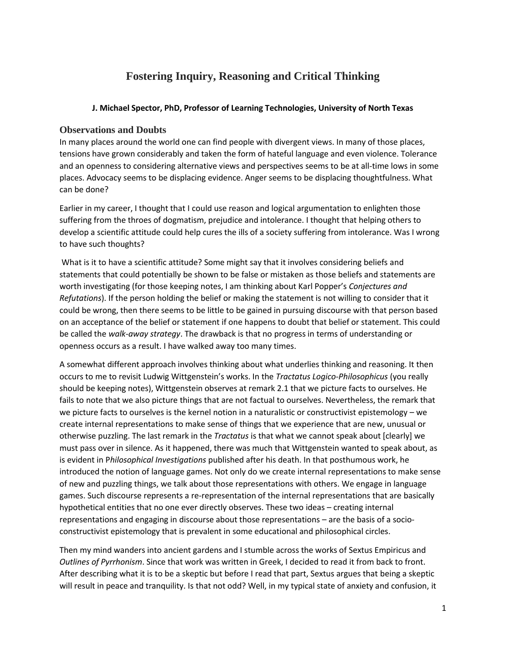# **Fostering Inquiry, Reasoning and Critical Thinking**

#### **J. Michael Spector, PhD, Professor of Learning Technologies, University of North Texas**

## **Observations and Doubts**

In many places around the world one can find people with divergent views. In many of those places, tensions have grown considerably and taken the form of hateful language and even violence. Tolerance and an openness to considering alternative views and perspectives seems to be at all‐time lows in some places. Advocacy seems to be displacing evidence. Anger seems to be displacing thoughtfulness. What can be done?

Earlier in my career, I thought that I could use reason and logical argumentation to enlighten those suffering from the throes of dogmatism, prejudice and intolerance. I thought that helping others to develop a scientific attitude could help cures the ills of a society suffering from intolerance. Was I wrong to have such thoughts?

What is it to have a scientific attitude? Some might say that it involves considering beliefs and statements that could potentially be shown to be false or mistaken as those beliefs and statements are worth investigating (for those keeping notes, I am thinking about Karl Popper's *Conjectures and Refutations*). If the person holding the belief or making the statement is not willing to consider that it could be wrong, then there seems to be little to be gained in pursuing discourse with that person based on an acceptance of the belief or statement if one happens to doubt that belief or statement. This could be called the *walk‐away strategy*. The drawback is that no progress in terms of understanding or openness occurs as a result. I have walked away too many times.

A somewhat different approach involves thinking about what underlies thinking and reasoning. It then occurs to me to revisit Ludwig Wittgenstein's works. In the *Tractatus Logico‐Philosophicus* (you really should be keeping notes), Wittgenstein observes at remark 2.1 that we picture facts to ourselves. He fails to note that we also picture things that are not factual to ourselves. Nevertheless, the remark that we picture facts to ourselves is the kernel notion in a naturalistic or constructivist epistemology – we create internal representations to make sense of things that we experience that are new, unusual or otherwise puzzling. The last remark in the *Tractatus* is that what we cannot speak about [clearly] we must pass over in silence. As it happened, there was much that Wittgenstein wanted to speak about, as is evident in P*hilosophical Investigations* published after his death. In that posthumous work, he introduced the notion of language games. Not only do we create internal representations to make sense of new and puzzling things, we talk about those representations with others. We engage in language games. Such discourse represents a re‐representation of the internal representations that are basically hypothetical entities that no one ever directly observes. These two ideas – creating internal representations and engaging in discourse about those representations – are the basis of a socio‐ constructivist epistemology that is prevalent in some educational and philosophical circles.

Then my mind wanders into ancient gardens and I stumble across the works of Sextus Empiricus and *Outlines of Pyrrhonism*. Since that work was written in Greek, I decided to read it from back to front. After describing what it is to be a skeptic but before I read that part, Sextus argues that being a skeptic will result in peace and tranquility. Is that not odd? Well, in my typical state of anxiety and confusion, it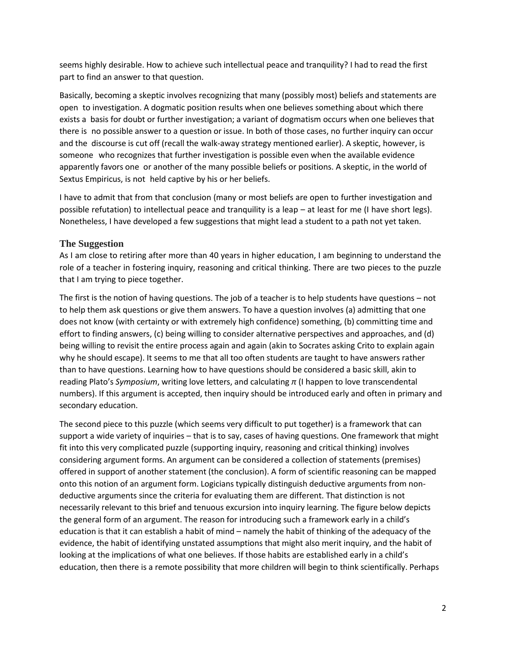seems highly desirable. How to achieve such intellectual peace and tranquility? I had to read the first part to find an answer to that question.

Basically, becoming a skeptic involves recognizing that many (possibly most) beliefs and statements are open to investigation. A dogmatic position results when one believes something about which there exists a basis for doubt or further investigation; a variant of dogmatism occurs when one believes that there is no possible answer to a question or issue. In both of those cases, no further inquiry can occur and the discourse is cut off (recall the walk‐away strategy mentioned earlier). A skeptic, however, is someone who recognizes that further investigation is possible even when the available evidence apparently favors one or another of the many possible beliefs or positions. A skeptic, in the world of Sextus Empiricus, is not held captive by his or her beliefs.

I have to admit that from that conclusion (many or most beliefs are open to further investigation and possible refutation) to intellectual peace and tranquility is a leap – at least for me (I have short legs). Nonetheless, I have developed a few suggestions that might lead a student to a path not yet taken.

#### **The Suggestion**

As I am close to retiring after more than 40 years in higher education, I am beginning to understand the role of a teacher in fostering inquiry, reasoning and critical thinking. There are two pieces to the puzzle that I am trying to piece together.

The first is the notion of having questions. The job of a teacher is to help students have questions – not to help them ask questions or give them answers. To have a question involves (a) admitting that one does not know (with certainty or with extremely high confidence) something, (b) committing time and effort to finding answers, (c) being willing to consider alternative perspectives and approaches, and (d) being willing to revisit the entire process again and again (akin to Socrates asking Crito to explain again why he should escape). It seems to me that all too often students are taught to have answers rather than to have questions. Learning how to have questions should be considered a basic skill, akin to reading Plato's *Symposium*, writing love letters, and calculating *π* (I happen to love transcendental numbers). If this argument is accepted, then inquiry should be introduced early and often in primary and secondary education.

The second piece to this puzzle (which seems very difficult to put together) is a framework that can support a wide variety of inquiries – that is to say, cases of having questions. One framework that might fit into this very complicated puzzle (supporting inquiry, reasoning and critical thinking) involves considering argument forms. An argument can be considered a collection of statements (premises) offered in support of another statement (the conclusion). A form of scientific reasoning can be mapped onto this notion of an argument form. Logicians typically distinguish deductive arguments from non‐ deductive arguments since the criteria for evaluating them are different. That distinction is not necessarily relevant to this brief and tenuous excursion into inquiry learning. The figure below depicts the general form of an argument. The reason for introducing such a framework early in a child's education is that it can establish a habit of mind – namely the habit of thinking of the adequacy of the evidence, the habit of identifying unstated assumptions that might also merit inquiry, and the habit of looking at the implications of what one believes. If those habits are established early in a child's education, then there is a remote possibility that more children will begin to think scientifically. Perhaps